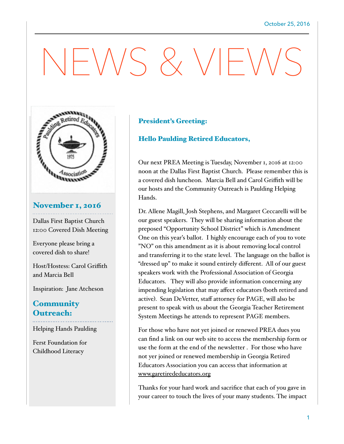# $-\bigvee\bigvee$  &  $\bigvee\bigvee$



Dallas First Baptist Church 12:00 Covered Dish Meeting

Everyone please bring a covered dish to share!

Host/Hostess: Carol Griffith and Marcia Bell

Inspiration: Jane Atcheson

### **Community** Outreach:

Helping Hands Paulding

Ferst Foundation for Childhood Literacy

#### President's Greeting:

#### Hello Paulding Retired Educators,

Our next PREA Meeting is Tuesday, November 1, 2016 at 12:00 noon at the Dallas First Baptist Church. Please remember this is a covered dish luncheon. Marcia Bell and Carol Griffith will be our hosts and the Community Outreach is Paulding Helping Hands.

Dr. Allene Magill, Josh Stephens, and Margaret Ceccarelli will be our guest speakers. They will be sharing information about the preposed "Opportunity School District" which is Amendment One on this year's ballot. I highly encourage each of you to vote "NO" on this amendment as it is about removing local control and transferring it to the state level. The language on the ballot is "dressed up" to make it sound entirely different. All of our guest speakers work with the Professional Association of Georgia Educators. They will also provide information concerning any impending legislation that may affect educators (both retired and active). Sean DeVetter, staff attorney for PAGE, will also be present to speak with us about the Georgia Teacher Retirement System Meetings he attends to represent PAGE members.

For those who have not yet joined or renewed PREA dues you can find a link on our web site to access the membership form or use the form at the end of the newsletter . For those who have not yer joined or renewed membership in Georgia Retired Educators Association you can access that information at [www.garetirededucators.org](http://www.garetirededucators.org)

Thanks for your hard work and sacrifice that each of you gave in your career to touch the lives of your many students. The impact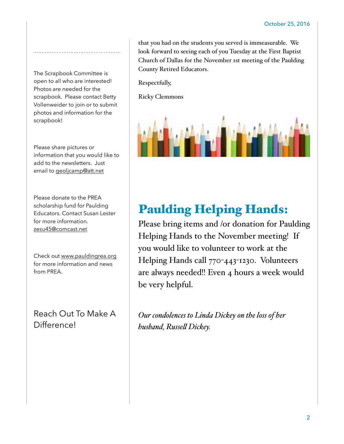The Scrapbook Committee is open to all who are interested! Photos are needed for the scrapbook. Please contact Betty Vollenweider to join or to submit photos and information for the scrapbook!

Please share pictures or information that you would like to add to the newsletters. Just email to [geoljcamp@att.net](mailto:geoljcamp@att.net)

Please donate to the PREA scholarship fund for Paulding Educators. Contact Susan Lester for more information. [zesu45@comcast.net](mailto:zesu45@comcast.net)

Check out [www.pauldingrea.org](http://www.pauldingrea.org) for more information and news from PREA.

Reach Out To Make A Difference!

that you had on the students you served is immeasurable. We look forward to seeing each of you Tuesday at the First Baptist Church of Dallas for the November 1st meeting of the Paulding County Retired Educators.

Respectfully,

Ricky Clemmons



# Paulding Helping Hands:

Please bring items and /or donation for Paulding Helping Hands to the November meeting! If you would like to volunteer to work at the Helping Hands call 770-443-1230. Volunteers are always needed!! Even 4 hours a week would be very helpful.

*Our condolences to Linda Dickey on the loss of her husband, Russel Dickey.*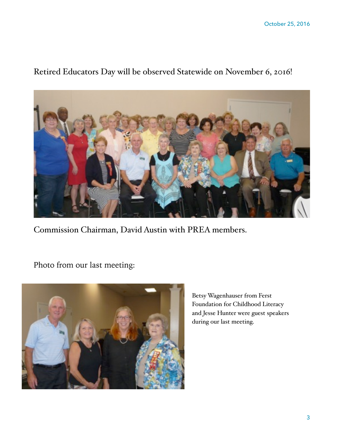

# Retired Educators Day will be observed Statewide on November 6, 2016!

Commission Chairman, David Austin with PREA members.

Photo from our last meeting:



Betsy Wagenhauser from Ferst Foundation for Childhood Literacy and Jesse Hunter were guest speakers during our last meeting.